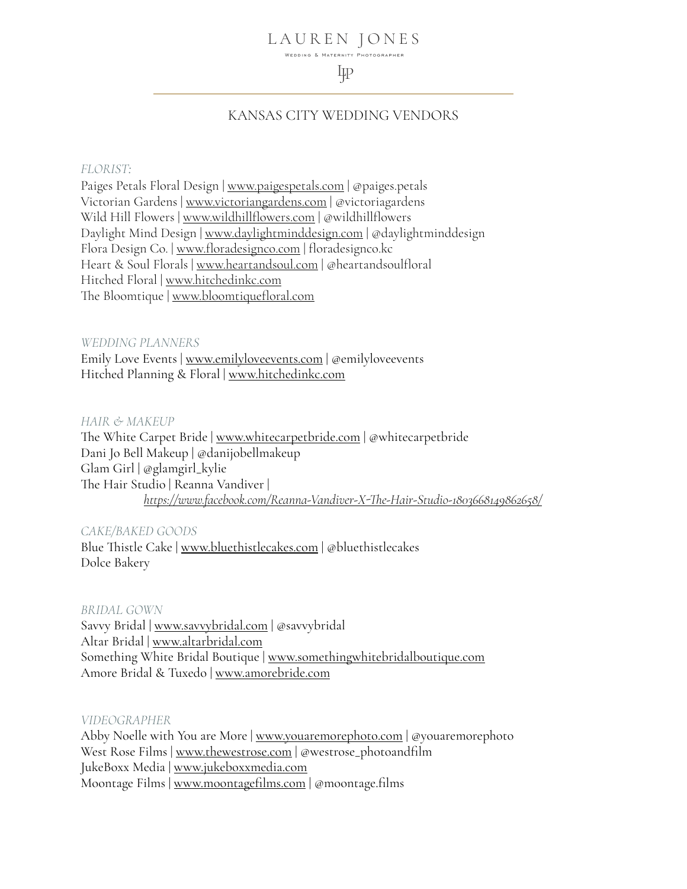#### LAUREN JONES WEDDING & MATERNITY PHOTOGRAPHER

# 圯

## KANSAS CITY WEDDING VENDORS

#### *FLORIST:*

Paiges Petals Floral Design | [www.paigespetals.com](http://www.paigespetals.com) | @paiges.petals Victorian Gardens | [www.victoriangardens.com](http://www.victoriangardens.com) | @victoriagardens Wild Hill Flowers | [www.wildhill](http://www.wildhillflowers.com)flowers.com | @wildhillflowers Daylight Mind Design | [www.daylightminddesign.com](http://www.daylightminddesign.com) | @daylightminddesign Flora Design Co. | www.fl[oradesignco.com](http://www.floradesignco.com) | floradesignco.kc Heart & Soul Florals | [www.heartandsoul.com](http://www.heartandsoul.com) | @heartandsoulfloral Hitched Floral | [www.hitchedinkc.com](https://www.hitchedinkc.com) The Bloomtique | [www.bloomti](http://www.bloomtiquefloral.com)quefloral.com

## *WEDDING PLANNERS*

Emily Love Events | [www.emilyloveevents.com](http://www.emilyloveevents.com) | @emilyloveevents Hitched Planning & Floral | [www.hitchedinkc.com](http://www.hitchedinkc.com)

#### *HAIR & MAKEUP*

The White Carpet Bride | [www.whitecarpetbride.com](http://www.whitecarpetbride.com) | @whitecarpetbride Dani Jo Bell Makeup | @danijobellmakeup Glam Girl | @glamgirl\_kylie The Hair Studio | Reanna Vandiver |  *https://www.facebook.com/Reanna-Vandiver-X-Th[e-Hair-Studio-1803668149862658/](https://www.facebook.com/Reanna-Vandiver-X-The-Hair-Studio-1803668149862658/)*

### *CAKE/BAKED GOODS*

Blue Thistle Cake | [www.bluethistlecakes.com](http://www.bluethistlecakes.com) | @bluethistlecakes Dolce Bakery

## *BRIDAL GOWN*

Savvy Bridal | [www.savvybridal.com](http://www.savvybridal.com) | @savvybridal Altar Bridal | [www.altarbridal.com](http://www.altarbridal.com) Something White Bridal Boutique | [www.somethingwhitebridalbouti](http://www.somethingwhitebridalboutique.com)que.com Amore Bridal & Tuxedo | [www.amorebride.com](http://www.amorebride.com)

#### *VIDEOGRAPHER*

Abby Noelle with You are More | [www.youaremorephoto.com](http://www.youaremorephoto.com) | @youaremorephoto West Rose Films | [www.thewestrose.com](http://www.thewestrose.com) | @westrose\_photoandfilm JukeBoxx Media | [www.jukeboxxmedia.com](http://www.jukeboxxmedia.com) Moontage Films | [www.moontage](http://www.moontagefilms.com)films.com | @moontage.films